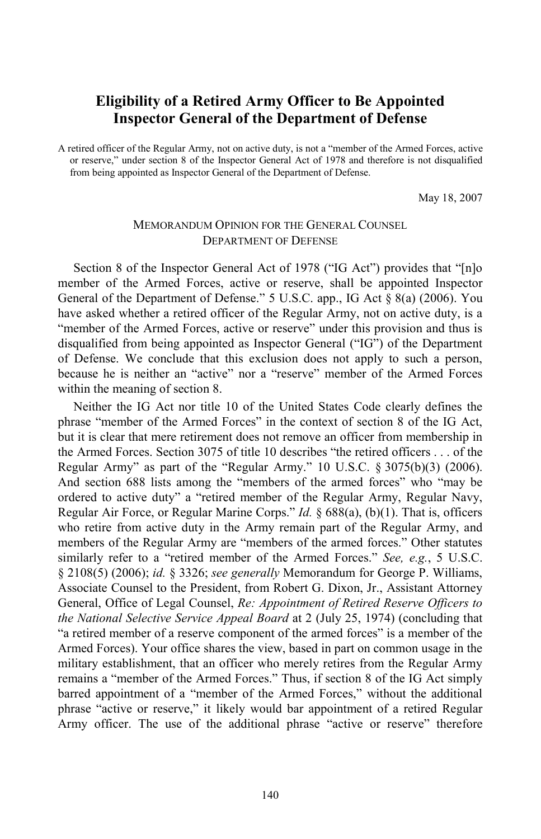## **Eligibility of a Retired Army Officer to Be Appointed Inspector General of the Department of Defense**

A retired officer of the Regular Army, not on active duty, is not a "member of the Armed Forces, active or reserve," under section 8 of the Inspector General Act of 1978 and therefore is not disqualified from being appointed as Inspector General of the Department of Defense.

May 18, 2007

## MEMORANDUM OPINION FOR THE GENERAL COUNSEL DEPARTMENT OF DEFENSE

Section 8 of the Inspector General Act of 1978 ("IG Act") provides that "[n]o member of the Armed Forces, active or reserve, shall be appointed Inspector General of the Department of Defense." 5 U.S.C. app., IG Act § 8(a) (2006). You have asked whether a retired officer of the Regular Army, not on active duty, is a "member of the Armed Forces, active or reserve" under this provision and thus is disqualified from being appointed as Inspector General ("IG") of the Department of Defense. We conclude that this exclusion does not apply to such a person, because he is neither an "active" nor a "reserve" member of the Armed Forces within the meaning of section 8.

Neither the IG Act nor title 10 of the United States Code clearly defines the phrase "member of the Armed Forces" in the context of section 8 of the IG Act, but it is clear that mere retirement does not remove an officer from membership in the Armed Forces. Section 3075 of title 10 describes "the retired officers . . . of the Regular Army" as part of the "Regular Army." 10 U.S.C. § 3075(b)(3) (2006). And section 688 lists among the "members of the armed forces" who "may be ordered to active duty" a "retired member of the Regular Army, Regular Navy, Regular Air Force, or Regular Marine Corps." *Id.* § 688(a), (b)(1). That is, officers who retire from active duty in the Army remain part of the Regular Army, and members of the Regular Army are "members of the armed forces." Other statutes similarly refer to a "retired member of the Armed Forces." *See, e.g.*, 5 U.S.C. § 2108(5) (2006); *id.* § 3326; *see generally* Memorandum for George P. Williams, Associate Counsel to the President, from Robert G. Dixon, Jr., Assistant Attorney General, Office of Legal Counsel, *Re: Appointment of Retired Reserve Officers to the National Selective Service Appeal Board* at 2 (July 25, 1974) (concluding that "a retired member of a reserve component of the armed forces" is a member of the Armed Forces). Your office shares the view, based in part on common usage in the military establishment, that an officer who merely retires from the Regular Army remains a "member of the Armed Forces." Thus, if section 8 of the IG Act simply barred appointment of a "member of the Armed Forces," without the additional phrase "active or reserve," it likely would bar appointment of a retired Regular Army officer. The use of the additional phrase "active or reserve" therefore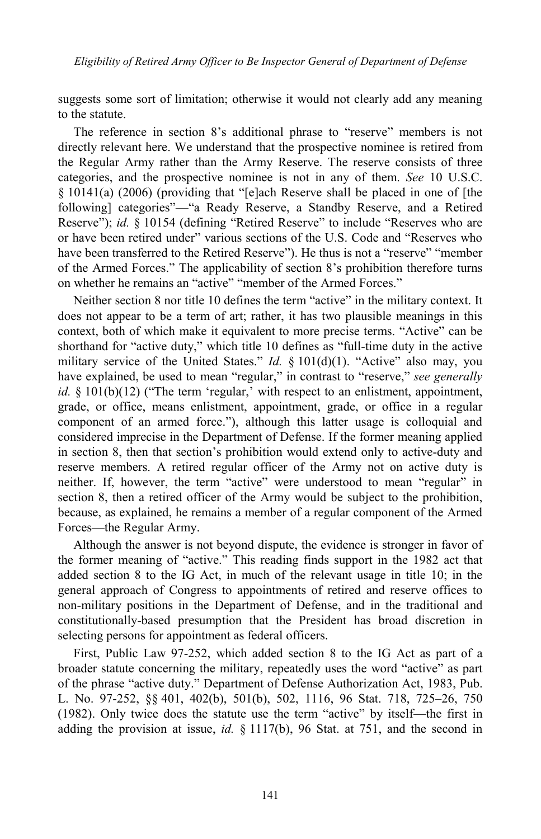suggests some sort of limitation; otherwise it would not clearly add any meaning to the statute.

The reference in section 8's additional phrase to "reserve" members is not directly relevant here. We understand that the prospective nominee is retired from the Regular Army rather than the Army Reserve. The reserve consists of three categories, and the prospective nominee is not in any of them. *See* 10 U.S.C. § 10141(a) (2006) (providing that "[e]ach Reserve shall be placed in one of [the following] categories"—"a Ready Reserve, a Standby Reserve, and a Retired Reserve"); *id.* § 10154 (defining "Retired Reserve" to include "Reserves who are or have been retired under" various sections of the U.S. Code and "Reserves who have been transferred to the Retired Reserve"). He thus is not a "reserve" "member of the Armed Forces." The applicability of section 8's prohibition therefore turns on whether he remains an "active" "member of the Armed Forces."

Neither section 8 nor title 10 defines the term "active" in the military context. It does not appear to be a term of art; rather, it has two plausible meanings in this context, both of which make it equivalent to more precise terms. "Active" can be shorthand for "active duty," which title 10 defines as "full-time duty in the active military service of the United States." *Id.* § 101(d)(1). "Active" also may, you have explained, be used to mean "regular," in contrast to "reserve," *see generally id.* § 101(b)(12) ("The term 'regular,' with respect to an enlistment, appointment, grade, or office, means enlistment, appointment, grade, or office in a regular component of an armed force."), although this latter usage is colloquial and considered imprecise in the Department of Defense. If the former meaning applied in section 8, then that section's prohibition would extend only to active-duty and reserve members. A retired regular officer of the Army not on active duty is neither. If, however, the term "active" were understood to mean "regular" in section 8, then a retired officer of the Army would be subject to the prohibition, because, as explained, he remains a member of a regular component of the Armed Forces—the Regular Army.

Although the answer is not beyond dispute, the evidence is stronger in favor of the former meaning of "active." This reading finds support in the 1982 act that added section 8 to the IG Act, in much of the relevant usage in title 10; in the general approach of Congress to appointments of retired and reserve offices to non-military positions in the Department of Defense, and in the traditional and constitutionally-based presumption that the President has broad discretion in selecting persons for appointment as federal officers.

First, Public Law 97-252, which added section 8 to the IG Act as part of a broader statute concerning the military, repeatedly uses the word "active" as part of the phrase "active duty." Department of Defense Authorization Act, 1983, Pub. L. No. 97-252, §§ 401, 402(b), 501(b), 502, 1116, 96 Stat. 718, 725–26, 750 (1982). Only twice does the statute use the term "active" by itself—the first in adding the provision at issue, *id.* § 1117(b), 96 Stat. at 751, and the second in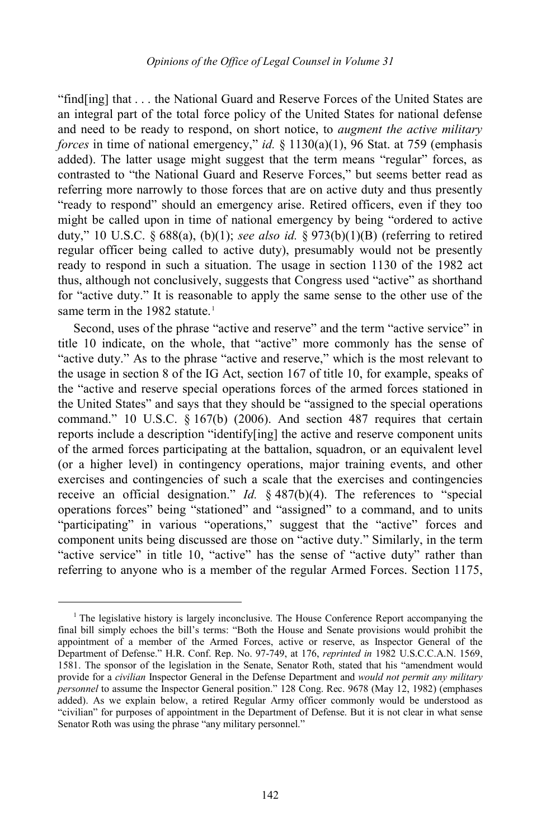"find[ing] that . . . the National Guard and Reserve Forces of the United States are an integral part of the total force policy of the United States for national defense and need to be ready to respond, on short notice, to *augment the active military forces* in time of national emergency," *id.* § 1130(a)(1), 96 Stat. at 759 (emphasis added). The latter usage might suggest that the term means "regular" forces, as contrasted to "the National Guard and Reserve Forces," but seems better read as referring more narrowly to those forces that are on active duty and thus presently "ready to respond" should an emergency arise. Retired officers, even if they too might be called upon in time of national emergency by being "ordered to active duty," 10 U.S.C. § 688(a), (b)(1); *see also id.* § 973(b)(1)(B) (referring to retired regular officer being called to active duty), presumably would not be presently ready to respond in such a situation. The usage in section 1130 of the 1982 act thus, although not conclusively, suggests that Congress used "active" as shorthand for "active duty." It is reasonable to apply the same sense to the other use of the same term in the [1](#page-2-0)982 statute.<sup>1</sup>

Second, uses of the phrase "active and reserve" and the term "active service" in title 10 indicate, on the whole, that "active" more commonly has the sense of "active duty." As to the phrase "active and reserve," which is the most relevant to the usage in section 8 of the IG Act, section 167 of title 10, for example, speaks of the "active and reserve special operations forces of the armed forces stationed in the United States" and says that they should be "assigned to the special operations command." 10 U.S.C. § 167(b) (2006). And section 487 requires that certain reports include a description "identify[ing] the active and reserve component units of the armed forces participating at the battalion, squadron, or an equivalent level (or a higher level) in contingency operations, major training events, and other exercises and contingencies of such a scale that the exercises and contingencies receive an official designation." *Id.* § 487(b)(4). The references to "special operations forces" being "stationed" and "assigned" to a command, and to units "participating" in various "operations," suggest that the "active" forces and component units being discussed are those on "active duty." Similarly, in the term "active service" in title 10, "active" has the sense of "active duty" rather than referring to anyone who is a member of the regular Armed Forces. Section 1175,

j

<span id="page-2-0"></span><sup>&</sup>lt;sup>1</sup> The legislative history is largely inconclusive. The House Conference Report accompanying the final bill simply echoes the bill's terms: "Both the House and Senate provisions would prohibit the appointment of a member of the Armed Forces, active or reserve, as Inspector General of the Department of Defense." H.R. Conf. Rep. No. 97-749, at 176, *reprinted in* 1982 U.S.C.C.A.N. 1569, 1581. The sponsor of the legislation in the Senate, Senator Roth, stated that his "amendment would provide for a *civilian* Inspector General in the Defense Department and *would not permit any military personnel* to assume the Inspector General position." 128 Cong. Rec. 9678 (May 12, 1982) (emphases added). As we explain below, a retired Regular Army officer commonly would be understood as "civilian" for purposes of appointment in the Department of Defense. But it is not clear in what sense Senator Roth was using the phrase "any military personnel."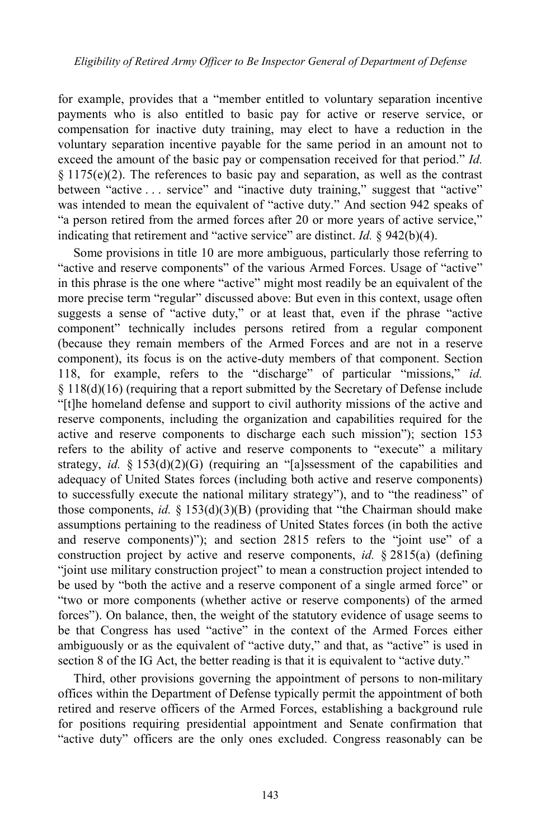for example, provides that a "member entitled to voluntary separation incentive payments who is also entitled to basic pay for active or reserve service, or compensation for inactive duty training, may elect to have a reduction in the voluntary separation incentive payable for the same period in an amount not to exceed the amount of the basic pay or compensation received for that period." *Id.*   $§ 1175(e)(2)$ . The references to basic pay and separation, as well as the contrast between "active . . . service" and "inactive duty training," suggest that "active" was intended to mean the equivalent of "active duty." And section 942 speaks of "a person retired from the armed forces after 20 or more years of active service," indicating that retirement and "active service" are distinct. *Id.* § 942(b)(4).

Some provisions in title 10 are more ambiguous, particularly those referring to "active and reserve components" of the various Armed Forces. Usage of "active" in this phrase is the one where "active" might most readily be an equivalent of the more precise term "regular" discussed above: But even in this context, usage often suggests a sense of "active duty," or at least that, even if the phrase "active component" technically includes persons retired from a regular component (because they remain members of the Armed Forces and are not in a reserve component), its focus is on the active-duty members of that component. Section 118, for example, refers to the "discharge" of particular "missions," *id.* § 118(d)(16) (requiring that a report submitted by the Secretary of Defense include "[t]he homeland defense and support to civil authority missions of the active and reserve components, including the organization and capabilities required for the active and reserve components to discharge each such mission"); section 153 refers to the ability of active and reserve components to "execute" a military strategy, *id.* § 153(d)(2)(G) (requiring an "[a]ssessment of the capabilities and adequacy of United States forces (including both active and reserve components) to successfully execute the national military strategy"), and to "the readiness" of those components, *id.* § 153(d)(3)(B) (providing that "the Chairman should make assumptions pertaining to the readiness of United States forces (in both the active and reserve components)"); and section 2815 refers to the "joint use" of a construction project by active and reserve components, *id.* § 2815(a) (defining "joint use military construction project" to mean a construction project intended to be used by "both the active and a reserve component of a single armed force" or "two or more components (whether active or reserve components) of the armed forces"). On balance, then, the weight of the statutory evidence of usage seems to be that Congress has used "active" in the context of the Armed Forces either ambiguously or as the equivalent of "active duty," and that, as "active" is used in section 8 of the IG Act, the better reading is that it is equivalent to "active duty."

Third, other provisions governing the appointment of persons to non-military offices within the Department of Defense typically permit the appointment of both retired and reserve officers of the Armed Forces, establishing a background rule for positions requiring presidential appointment and Senate confirmation that "active duty" officers are the only ones excluded. Congress reasonably can be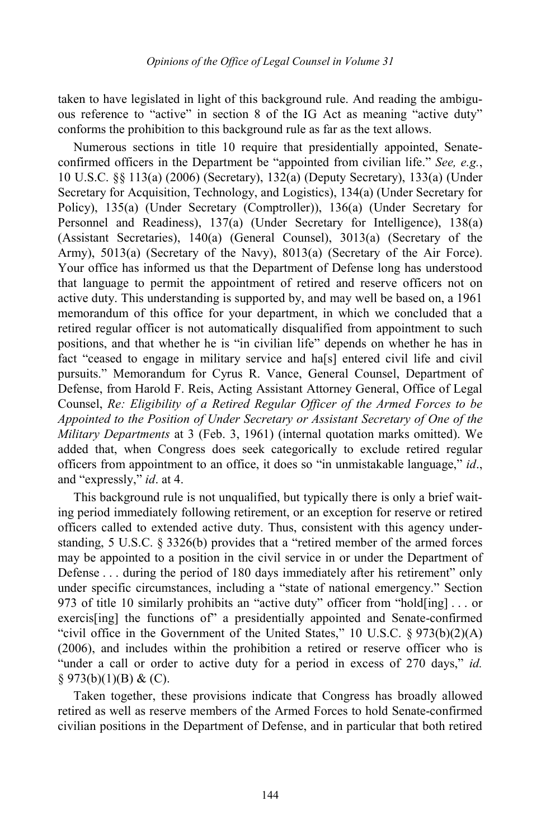taken to have legislated in light of this background rule. And reading the ambiguous reference to "active" in section 8 of the IG Act as meaning "active duty" conforms the prohibition to this background rule as far as the text allows.

Numerous sections in title 10 require that presidentially appointed, Senateconfirmed officers in the Department be "appointed from civilian life." *See, e.g.*, 10 U.S.C. §§ 113(a) (2006) (Secretary), 132(a) (Deputy Secretary), 133(a) (Under Secretary for Acquisition, Technology, and Logistics), 134(a) (Under Secretary for Policy), 135(a) (Under Secretary (Comptroller)), 136(a) (Under Secretary for Personnel and Readiness), 137(a) (Under Secretary for Intelligence), 138(a) (Assistant Secretaries), 140(a) (General Counsel), 3013(a) (Secretary of the Army), 5013(a) (Secretary of the Navy), 8013(a) (Secretary of the Air Force). Your office has informed us that the Department of Defense long has understood that language to permit the appointment of retired and reserve officers not on active duty. This understanding is supported by, and may well be based on, a 1961 memorandum of this office for your department, in which we concluded that a retired regular officer is not automatically disqualified from appointment to such positions, and that whether he is "in civilian life" depends on whether he has in fact "ceased to engage in military service and ha[s] entered civil life and civil pursuits." Memorandum for Cyrus R. Vance, General Counsel, Department of Defense, from Harold F. Reis, Acting Assistant Attorney General, Office of Legal Counsel, *Re: Eligibility of a Retired Regular Officer of the Armed Forces to be Appointed to the Position of Under Secretary or Assistant Secretary of One of the Military Departments* at 3 (Feb. 3, 1961) (internal quotation marks omitted). We added that, when Congress does seek categorically to exclude retired regular officers from appointment to an office, it does so "in unmistakable language," *id*., and "expressly," *id*. at 4.

This background rule is not unqualified, but typically there is only a brief waiting period immediately following retirement, or an exception for reserve or retired officers called to extended active duty. Thus, consistent with this agency understanding, 5 U.S.C. § 3326(b) provides that a "retired member of the armed forces may be appointed to a position in the civil service in or under the Department of Defense . . . during the period of 180 days immediately after his retirement" only under specific circumstances, including a "state of national emergency." Section 973 of title 10 similarly prohibits an "active duty" officer from "hold[ing] . . . or exercis[ing] the functions of" a presidentially appointed and Senate-confirmed "civil office in the Government of the United States," 10 U.S.C.  $\S 973(b)(2)(A)$ (2006), and includes within the prohibition a retired or reserve officer who is "under a call or order to active duty for a period in excess of 270 days," *id.*  $§$  973(b)(1)(B) & (C).

Taken together, these provisions indicate that Congress has broadly allowed retired as well as reserve members of the Armed Forces to hold Senate-confirmed civilian positions in the Department of Defense, and in particular that both retired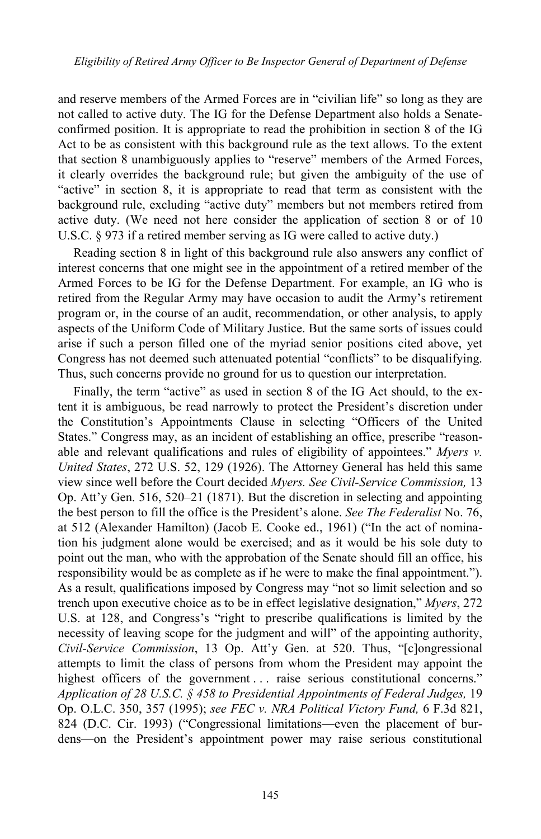and reserve members of the Armed Forces are in "civilian life" so long as they are not called to active duty. The IG for the Defense Department also holds a Senateconfirmed position. It is appropriate to read the prohibition in section 8 of the IG Act to be as consistent with this background rule as the text allows. To the extent that section 8 unambiguously applies to "reserve" members of the Armed Forces, it clearly overrides the background rule; but given the ambiguity of the use of "active" in section 8, it is appropriate to read that term as consistent with the background rule, excluding "active duty" members but not members retired from active duty. (We need not here consider the application of section 8 or of 10 U.S.C. § 973 if a retired member serving as IG were called to active duty.)

Reading section 8 in light of this background rule also answers any conflict of interest concerns that one might see in the appointment of a retired member of the Armed Forces to be IG for the Defense Department. For example, an IG who is retired from the Regular Army may have occasion to audit the Army's retirement program or, in the course of an audit, recommendation, or other analysis, to apply aspects of the Uniform Code of Military Justice. But the same sorts of issues could arise if such a person filled one of the myriad senior positions cited above, yet Congress has not deemed such attenuated potential "conflicts" to be disqualifying. Thus, such concerns provide no ground for us to question our interpretation.

Finally, the term "active" as used in section 8 of the IG Act should, to the extent it is ambiguous, be read narrowly to protect the President's discretion under the Constitution's Appointments Clause in selecting "Officers of the United States." Congress may, as an incident of establishing an office, prescribe "reasonable and relevant qualifications and rules of eligibility of appointees." *Myers v. United States*, 272 U.S. 52, 129 (1926). The Attorney General has held this same view since well before the Court decided *Myers. See Civil-Service Commission,* 13 Op. Att'y Gen. 516, 520–21 (1871). But the discretion in selecting and appointing the best person to fill the office is the President's alone. *See The Federalist* No. 76, at 512 (Alexander Hamilton) (Jacob E. Cooke ed., 1961) ("In the act of nomination his judgment alone would be exercised; and as it would be his sole duty to point out the man, who with the approbation of the Senate should fill an office, his responsibility would be as complete as if he were to make the final appointment."). As a result, qualifications imposed by Congress may "not so limit selection and so trench upon executive choice as to be in effect legislative designation," *Myers*, 272 U.S. at 128, and Congress's "right to prescribe qualifications is limited by the necessity of leaving scope for the judgment and will" of the appointing authority, *Civil-Service Commission*, 13 Op. Att'y Gen. at 520. Thus, "[c]ongressional attempts to limit the class of persons from whom the President may appoint the highest officers of the government ... raise serious constitutional concerns." *Application of 28 U.S.C. § 458 to Presidential Appointments of Federal Judges,* 19 Op. O.L.C. 350, 357 (1995); *see FEC v. NRA Political Victory Fund,* 6 F.3d 821, 824 (D.C. Cir. 1993) ("Congressional limitations—even the placement of burdens—on the President's appointment power may raise serious constitutional